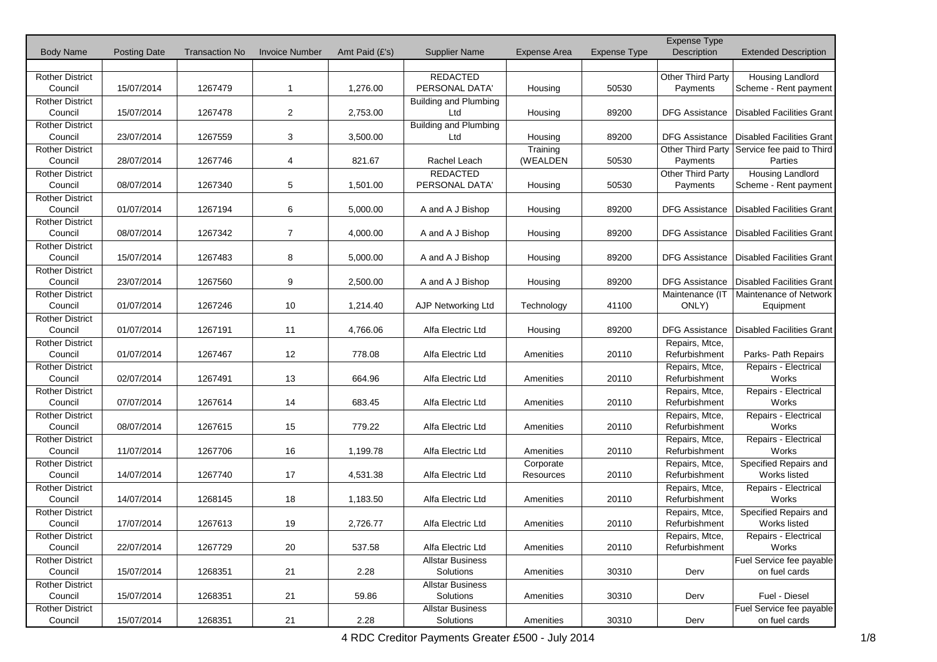|                                   |                     |                       |                       |                |                              |              |                     | Expense Type                    |                                  |
|-----------------------------------|---------------------|-----------------------|-----------------------|----------------|------------------------------|--------------|---------------------|---------------------------------|----------------------------------|
| <b>Body Name</b>                  | <b>Posting Date</b> | <b>Transaction No</b> | <b>Invoice Number</b> | Amt Paid (£'s) | <b>Supplier Name</b>         | Expense Area | <b>Expense Type</b> | Description                     | <b>Extended Description</b>      |
|                                   |                     |                       |                       |                |                              |              |                     |                                 |                                  |
| <b>Rother District</b>            |                     |                       |                       |                | <b>REDACTED</b>              |              |                     | Other Third Party               | Housing Landlord                 |
| Council                           | 15/07/2014          | 1267479               | 1                     | 1,276.00       | PERSONAL DATA'               | Housing      | 50530               | Payments                        | Scheme - Rent payment            |
| <b>Rother District</b>            |                     |                       |                       |                | <b>Building and Plumbing</b> |              |                     |                                 |                                  |
| Council                           | 15/07/2014          | 1267478               | $\overline{2}$        | 2,753.00       | Ltd                          | Housing      | 89200               | <b>DFG Assistance</b>           | <b>Disabled Facilities Grant</b> |
| <b>Rother District</b>            |                     |                       |                       |                | <b>Building and Plumbing</b> |              |                     |                                 |                                  |
| Council                           | 23/07/2014          | 1267559               | 3                     | 3,500.00       | Ltd                          | Housing      | 89200               | <b>DFG Assistance</b>           | Disabled Facilities Grant        |
| <b>Rother District</b>            |                     |                       |                       |                |                              | Training     |                     | <b>Other Third Party</b>        | Service fee paid to Third        |
| Council                           | 28/07/2014          | 1267746               | 4                     | 821.67         | Rachel Leach                 | (WEALDEN     | 50530               | Payments                        | Parties                          |
| Rother District                   |                     |                       |                       |                | REDACTED                     |              |                     | Other Third Party               | Housing Landlord                 |
| Council                           | 08/07/2014          | 1267340               | 5                     | 1,501.00       | PERSONAL DATA'               | Housing      | 50530               | Payments                        | Scheme - Rent payment            |
| <b>Rother District</b>            |                     |                       |                       |                |                              |              |                     |                                 |                                  |
| Council                           | 01/07/2014          | 1267194               | 6                     | 5,000.00       | A and A J Bishop             | Housing      | 89200               | <b>DFG Assistance</b>           | <b>Disabled Facilities Grant</b> |
| <b>Rother District</b>            |                     |                       |                       |                |                              |              |                     |                                 |                                  |
| Council                           | 08/07/2014          | 1267342               | 7                     | 4,000.00       | A and A J Bishop             | Housing      | 89200               | <b>DFG Assistance</b>           | <b>Disabled Facilities Grant</b> |
| <b>Rother District</b>            |                     |                       |                       |                |                              |              |                     |                                 |                                  |
| Council                           | 15/07/2014          | 1267483               | 8                     | 5,000.00       | A and A J Bishop             | Housing      | 89200               | <b>DFG Assistance</b>           | Disabled Facilities Grant        |
| <b>Rother District</b>            |                     |                       |                       |                |                              |              |                     |                                 |                                  |
| Council                           | 23/07/2014          | 1267560               | 9                     | 2,500.00       | A and A J Bishop             | Housing      | 89200               | <b>DFG Assistance</b>           | <b>Disabled Facilities Grant</b> |
| <b>Rother District</b>            |                     |                       |                       |                |                              |              |                     | Maintenance (IT                 | Maintenance of Network           |
| Council                           | 01/07/2014          | 1267246               | 10                    | 1,214.40       | AJP Networking Ltd           | Technology   | 41100               | ONLY)                           | Equipment                        |
|                                   |                     |                       |                       |                |                              |              |                     |                                 |                                  |
| <b>Rother District</b><br>Council | 01/07/2014          | 1267191               | 11                    | 4,766.06       | Alfa Electric Ltd            |              | 89200               | <b>DFG Assistance</b>           | <b>Disabled Facilities Grant</b> |
|                                   |                     |                       |                       |                |                              | Housing      |                     |                                 |                                  |
| <b>Rother District</b><br>Council | 01/07/2014          | 1267467               | 12                    | 778.08         | Alfa Electric Ltd            |              | 20110               | Repairs, Mtce,<br>Refurbishment |                                  |
|                                   |                     |                       |                       |                |                              | Amenities    |                     |                                 | Parks- Path Repairs              |
| <b>Rother District</b>            | 02/07/2014          |                       |                       | 664.96         | Alfa Electric Ltd            |              | 20110               | Repairs, Mtce,<br>Refurbishment | Repairs - Electrical<br>Works    |
| Council                           |                     | 1267491               | 13                    |                |                              | Amenities    |                     |                                 |                                  |
| <b>Rother District</b>            |                     |                       |                       |                |                              |              |                     | Repairs, Mtce,                  | Repairs - Electrical             |
| Council                           | 07/07/2014          | 1267614               | 14                    | 683.45         | Alfa Electric Ltd            | Amenities    | 20110               | Refurbishment                   | Works                            |
| <b>Rother District</b>            |                     |                       |                       |                |                              |              |                     | Repairs, Mtce,                  | Repairs - Electrical             |
| Council                           | 08/07/2014          | 1267615               | 15                    | 779.22         | Alfa Electric Ltd            | Amenities    | 20110               | Refurbishment                   | Works                            |
| <b>Rother District</b>            |                     |                       |                       |                |                              |              |                     | Repairs, Mtce,                  | Repairs Electrical               |
| Council                           | 11/07/2014          | 1267706               | 16                    | 1,199.78       | Alfa Electric Ltd            | Amenities    | 20110               | Refurbishment                   | Works                            |
| Rother District                   |                     |                       |                       |                |                              | Corporate    |                     | Repairs, Mtce,                  | Specified Repairs and            |
| Council                           | 14/07/2014          | 1267740               | 17                    | 4,531.38       | Alfa Electric Ltd            | Resources    | 20110               | Refurbishment                   | Works listed                     |
| <b>Rother District</b>            |                     |                       |                       |                |                              |              |                     | Repairs, Mtce,                  | Repairs - Electrical             |
| Council                           | 14/07/2014          | 1268145               | 18                    | 1,183.50       | Alfa Electric Ltd            | Amenities    | 20110               | Refurbishment                   | Works                            |
| <b>Rother District</b>            |                     |                       |                       |                |                              |              |                     | Repairs, Mtce,                  | Specified Repairs and            |
| Council                           | 17/07/2014          | 1267613               | 19                    | 2,726.77       | Alfa Electric Ltd            | Amenities    | 20110               | Refurbishment                   | Works listed                     |
| <b>Rother District</b>            |                     |                       |                       |                |                              |              |                     | Repairs, Mtce,                  | Repairs - Electrical             |
| Council                           | 22/07/2014          | 1267729               | 20                    | 537.58         | Alfa Electric Ltd            | Amenities    | 20110               | Refurbishment                   | Works                            |
| <b>Rother District</b>            |                     |                       |                       |                | <b>Allstar Business</b>      |              |                     |                                 | Fuel Service fee payable         |
| Council                           | 15/07/2014          | 1268351               | 21                    | 2.28           | Solutions                    | Amenities    | 30310               | Derv                            | on fuel cards                    |
| <b>Rother District</b>            |                     |                       |                       |                | <b>Allstar Business</b>      |              |                     |                                 |                                  |
| Council                           | 15/07/2014          | 1268351               | 21                    | 59.86          | Solutions                    | Amenities    | 30310               | Derv                            | Fuel - Diesel                    |
| <b>Rother District</b>            |                     |                       |                       |                | <b>Allstar Business</b>      |              |                     |                                 | Fuel Service fee payable         |
| Council                           | 15/07/2014          | 1268351               | 21                    | 2.28           | Solutions                    | Amenities    | 30310               | Derv                            | on fuel cards                    |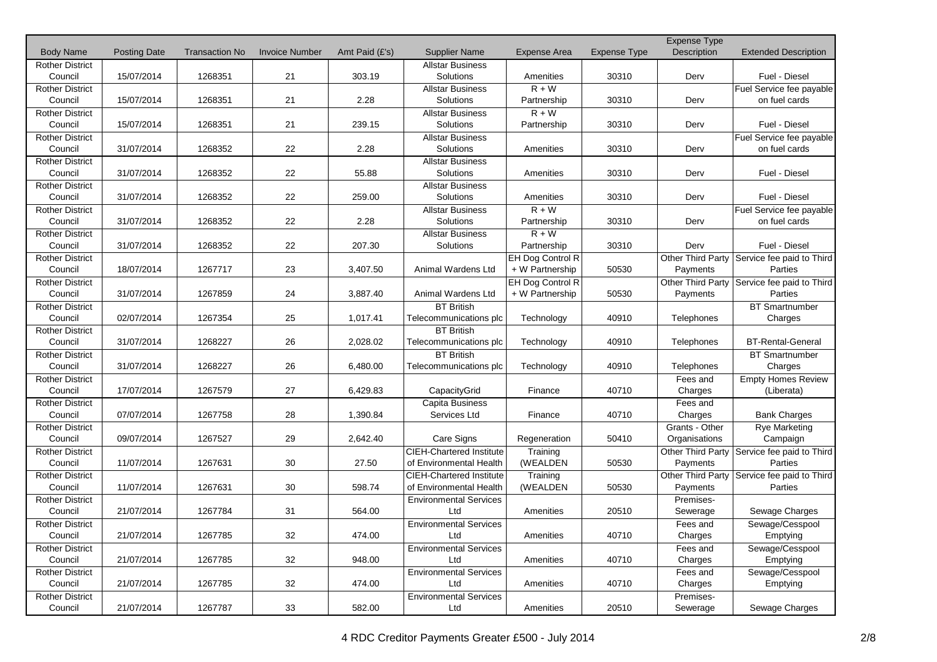|                        |                     |                       |                       |                |                                 |                     |                     | <b>Expense Type</b> |                                               |
|------------------------|---------------------|-----------------------|-----------------------|----------------|---------------------------------|---------------------|---------------------|---------------------|-----------------------------------------------|
| <b>Body Name</b>       | <b>Posting Date</b> | <b>Transaction No</b> | <b>Invoice Number</b> | Amt Paid (£'s) | <b>Supplier Name</b>            | <b>Expense Area</b> | <b>Expense Type</b> | Description         | <b>Extended Description</b>                   |
| <b>Rother District</b> |                     |                       |                       |                | <b>Allstar Business</b>         |                     |                     |                     |                                               |
| Council                | 15/07/2014          | 1268351               | 21                    | 303.19         | Solutions                       | Amenities           | 30310               | Derv                | Fuel - Diesel                                 |
| <b>Rother District</b> |                     |                       |                       |                | <b>Allstar Business</b>         | $R + W$             |                     |                     | Fuel Service fee payable                      |
| Council                | 15/07/2014          | 1268351               | 21                    | 2.28           | Solutions                       | Partnership         | 30310               | Derv                | on fuel cards                                 |
| <b>Rother District</b> |                     |                       |                       |                | <b>Allstar Business</b>         | $R + W$             |                     |                     |                                               |
| Council                | 15/07/2014          | 1268351               | 21                    | 239.15         | Solutions                       | Partnership         | 30310               | Derv                | Fuel - Diesel                                 |
| <b>Rother District</b> |                     |                       |                       |                | <b>Allstar Business</b>         |                     |                     |                     | Fuel Service fee payable                      |
| Council                | 31/07/2014          | 1268352               | 22                    | 2.28           | Solutions                       | Amenities           | 30310               | Derv                | on fuel cards                                 |
| <b>Rother District</b> |                     |                       |                       |                | <b>Allstar Business</b>         |                     |                     |                     |                                               |
| Council                | 31/07/2014          | 1268352               | 22                    | 55.88          | Solutions                       | Amenities           | 30310               | Derv                | Fuel - Diesel                                 |
| <b>Rother District</b> |                     |                       |                       |                | <b>Allstar Business</b>         |                     |                     |                     |                                               |
| Council                | 31/07/2014          | 1268352               | 22                    | 259.00         | Solutions                       | Amenities           | 30310               | Derv                | Fuel - Diesel                                 |
| <b>Rother District</b> |                     |                       |                       |                | <b>Allstar Business</b>         | $R + W$             |                     |                     | Fuel Service fee payable                      |
| Council                | 31/07/2014          | 1268352               | 22                    | 2.28           | Solutions                       | Partnership         | 30310               | Derv                | on fuel cards                                 |
| <b>Rother District</b> |                     |                       |                       |                | <b>Allstar Business</b>         | $R + W$             |                     |                     |                                               |
| Council                | 31/07/2014          | 1268352               | 22                    | 207.30         | Solutions                       | Partnership         | 30310               | Derv                | Fuel - Diesel                                 |
| <b>Rother District</b> |                     |                       |                       |                |                                 | EH Dog Control R    |                     | Other Third Party   | Service fee paid to Third                     |
| Council                | 18/07/2014          | 1267717               | 23                    | 3,407.50       | Animal Wardens Ltd              | + W Partnership     | 50530               | Payments            | Parties                                       |
| <b>Rother District</b> |                     |                       |                       |                |                                 | EH Dog Control R    |                     |                     | Other Third Party   Service fee paid to Third |
| Council                | 31/07/2014          | 1267859               | 24                    | 3,887.40       | Animal Wardens Ltd              | + W Partnership     | 50530               | Payments            | Parties                                       |
| <b>Rother District</b> |                     |                       |                       |                | <b>BT British</b>               |                     |                     |                     | <b>BT Smartnumber</b>                         |
| Council                | 02/07/2014          | 1267354               | 25                    | 1,017.41       | Telecommunications plc          | Technology          | 40910               | <b>Telephones</b>   | Charges                                       |
| <b>Rother District</b> |                     |                       |                       |                | <b>BT British</b>               |                     |                     |                     |                                               |
| Council                | 31/07/2014          | 1268227               | 26                    | 2,028.02       | Telecommunications plc          | Technology          | 40910               | Telephones          | <b>BT-Rental-General</b>                      |
| <b>Rother District</b> |                     |                       |                       |                | <b>BT British</b>               |                     |                     |                     | <b>BT</b> Smartnumber                         |
| Council                | 31/07/2014          | 1268227               | 26                    | 6,480.00       | Telecommunications plc          | Technology          | 40910               | Telephones          | Charges                                       |
| <b>Rother District</b> |                     |                       |                       |                |                                 |                     |                     | Fees and            | <b>Empty Homes Review</b>                     |
| Council                | 17/07/2014          | 1267579               | 27                    | 6,429.83       | CapacityGrid                    | Finance             | 40710               | Charges             | (Liberata)                                    |
| <b>Rother District</b> |                     |                       |                       |                | Capita Business                 |                     |                     | Fees and            |                                               |
| Council                | 07/07/2014          | 1267758               | 28                    | 1,390.84       | Services Ltd                    | Finance             | 40710               | Charges             | <b>Bank Charges</b>                           |
| <b>Rother District</b> |                     |                       |                       |                |                                 |                     |                     | Grants - Other      | <b>Rye Marketing</b>                          |
| Council                | 09/07/2014          | 1267527               | 29                    | 2,642.40       | Care Signs                      | Regeneration        | 50410               | Organisations       | Campaign                                      |
| <b>Rother District</b> |                     |                       |                       |                | <b>CIEH-Chartered Institute</b> | Training            |                     | Other Third Party   | Service fee paid to Third                     |
| Council                | 11/07/2014          | 1267631               | 30                    | 27.50          | of Environmental Health         | (WEALDEN            | 50530               | Payments            | Parties                                       |
| <b>Rother District</b> |                     |                       |                       |                | <b>CIEH-Chartered Institute</b> | Training            |                     | Other Third Party   | Service fee paid to Third                     |
| Council                | 11/07/2014          | 1267631               | 30                    | 598.74         | of Environmental Health         | (WEALDEN            | 50530               | Payments            | Parties                                       |
| <b>Rother District</b> |                     |                       |                       |                | <b>Environmental Services</b>   |                     |                     | Premises-           |                                               |
| Council                | 21/07/2014          | 1267784               | 31                    | 564.00         | Ltd                             | Amenities           | 20510               | Sewerage            | Sewage Charges                                |
| <b>Rother District</b> |                     |                       |                       |                | <b>Environmental Services</b>   |                     |                     | Fees and            | Sewage/Cesspool                               |
| Council                | 21/07/2014          | 1267785               | 32                    | 474.00         | Ltd                             | Amenities           | 40710               | Charges             | Emptying                                      |
| <b>Rother District</b> |                     |                       |                       |                | <b>Environmental Services</b>   |                     |                     | Fees and            | Sewage/Cesspool                               |
| Council                | 21/07/2014          | 1267785               | 32                    | 948.00         | Ltd                             | Amenities           | 40710               | Charges             | Emptying                                      |
| <b>Rother District</b> |                     |                       |                       |                | <b>Environmental Services</b>   |                     |                     | Fees and            | Sewage/Cesspool                               |
| Council                | 21/07/2014          | 1267785               | 32                    | 474.00         | Ltd                             | Amenities           | 40710               | Charges             | Emptying                                      |
| <b>Rother District</b> |                     |                       |                       |                | <b>Environmental Services</b>   |                     |                     | Premises-           |                                               |
| Council                | 21/07/2014          | 1267787               | 33                    | 582.00         | Ltd                             | Amenities           | 20510               | Sewerage            | Sewage Charges                                |
|                        |                     |                       |                       |                |                                 |                     |                     |                     |                                               |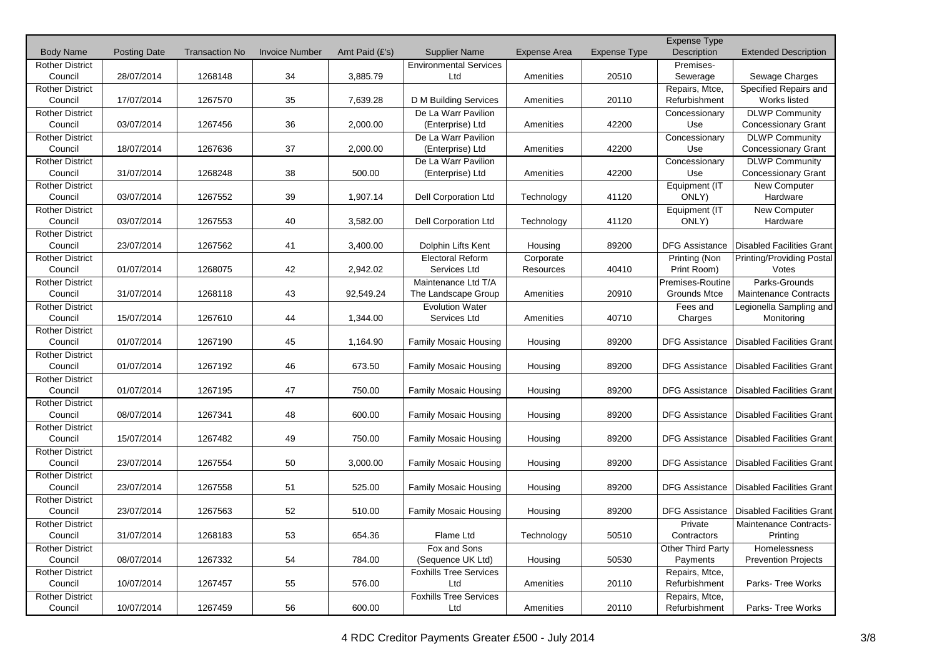|                        |                     |                       |                       |                |                               |                     |                     | Expense Type          |                                  |
|------------------------|---------------------|-----------------------|-----------------------|----------------|-------------------------------|---------------------|---------------------|-----------------------|----------------------------------|
| <b>Body Name</b>       | <b>Posting Date</b> | <b>Transaction No</b> | <b>Invoice Number</b> | Amt Paid (£'s) | <b>Supplier Name</b>          | <b>Expense Area</b> | <b>Expense Type</b> | Description           | <b>Extended Description</b>      |
| <b>Rother District</b> |                     |                       |                       |                | <b>Environmental Services</b> |                     |                     | Premises-             |                                  |
| Council                | 28/07/2014          | 1268148               | 34                    | 3,885.79       | Ltd                           | Amenities           | 20510               | Sewerage              | Sewage Charges                   |
| <b>Rother District</b> |                     |                       |                       |                |                               |                     |                     | Repairs, Mtce,        | Specified Repairs and            |
| Council                | 17/07/2014          | 1267570               | 35                    | 7,639.28       | D M Building Services         | Amenities           | 20110               | Refurbishment         | Works listed                     |
| <b>Rother District</b> |                     |                       |                       |                | De La Warr Pavilion           |                     |                     | Concessionary         | <b>DLWP Community</b>            |
| Council                | 03/07/2014          | 1267456               | 36                    | 2,000.00       | (Enterprise) Ltd              | Amenities           | 42200               | Use                   | <b>Concessionary Grant</b>       |
| <b>Rother District</b> |                     |                       |                       |                | De La Warr Pavilion           |                     |                     | Concessionary         | <b>DLWP Community</b>            |
| Council                | 18/07/2014          | 1267636               | 37                    | 2,000.00       | (Enterprise) Ltd              | Amenities           | 42200               | Use                   | <b>Concessionary Grant</b>       |
| <b>Rother District</b> |                     |                       |                       |                | De La Warr Pavilion           |                     |                     | Concessionary         | <b>DLWP Community</b>            |
| Council                | 31/07/2014          | 1268248               | 38                    | 500.00         | (Enterprise) Ltd              | Amenities           | 42200               | Use                   | <b>Concessionary Grant</b>       |
| <b>Rother District</b> |                     |                       |                       |                |                               |                     |                     | Equipment (IT         | New Computer                     |
| Council                | 03/07/2014          | 1267552               | 39                    | 1,907.14       | Dell Corporation Ltd          | Technology          | 41120               | ONLY)                 | Hardware                         |
| <b>Rother District</b> |                     |                       |                       |                |                               |                     |                     | Equipment (IT         | <b>New Computer</b>              |
| Council                | 03/07/2014          | 1267553               | 40                    | 3,582.00       | <b>Dell Corporation Ltd</b>   | Technology          | 41120               | ONLY)                 | Hardware                         |
| <b>Rother District</b> |                     |                       |                       |                |                               |                     |                     |                       |                                  |
| Council                | 23/07/2014          | 1267562               | 41                    | 3,400.00       | Dolphin Lifts Kent            | Housing             | 89200               | <b>DFG Assistance</b> | Disabled Facilities Grant        |
| <b>Rother District</b> |                     |                       |                       |                | <b>Electoral Reform</b>       | Corporate           |                     | Printing (Non         | Printing/Providing Postal        |
| Council                | 01/07/2014          | 1268075               | 42                    | 2,942.02       | Services Ltd                  | Resources           | 40410               | Print Room)           | Votes                            |
| <b>Rother District</b> |                     |                       |                       |                | Maintenance Ltd T/A           |                     |                     | Premises-Routine      | Parks-Grounds                    |
| Council                | 31/07/2014          | 1268118               | 43                    | 92,549.24      | The Landscape Group           | Amenities           | 20910               | Grounds Mtce          | <b>Maintenance Contracts</b>     |
| <b>Rother District</b> |                     |                       |                       |                | <b>Evolution Water</b>        |                     |                     | Fees and              | Legionella Sampling and          |
| Council                | 15/07/2014          | 1267610               | 44                    | 1,344.00       | Services Ltd                  | Amenities           | 40710               | Charges               | Monitoring                       |
| <b>Rother District</b> |                     |                       |                       |                |                               |                     |                     |                       |                                  |
| Council                | 01/07/2014          | 1267190               | 45                    | 1,164.90       | Family Mosaic Housing         | Housing             | 89200               | <b>DFG Assistance</b> | <b>Disabled Facilities Grant</b> |
| <b>Rother District</b> |                     |                       |                       |                |                               |                     |                     |                       |                                  |
| Council                | 01/07/2014          | 1267192               | 46                    | 673.50         | <b>Family Mosaic Housing</b>  | Housing             | 89200               | <b>DFG Assistance</b> | <b>Disabled Facilities Grant</b> |
| <b>Rother District</b> |                     |                       |                       |                |                               |                     |                     |                       |                                  |
| Council                | 01/07/2014          | 1267195               | 47                    | 750.00         | <b>Family Mosaic Housing</b>  | Housing             | 89200               | <b>DFG Assistance</b> | Disabled Facilities Grant        |
| <b>Rother District</b> |                     |                       |                       |                |                               |                     |                     |                       |                                  |
| Council                | 08/07/2014          | 1267341               | 48                    | 600.00         | Family Mosaic Housing         | Housing             | 89200               | <b>DFG Assistance</b> | Disabled Facilities Grant        |
| Rother District        |                     |                       |                       |                |                               |                     |                     |                       |                                  |
| Council                | 15/07/2014          | 1267482               | 49                    | 750.00         | <b>Family Mosaic Housing</b>  | Housing             | 89200               | DFG Assistance        | <b>Disabled Facilities Grant</b> |
| <b>Rother District</b> |                     |                       |                       |                |                               |                     |                     |                       |                                  |
| Council                | 23/07/2014          | 1267554               | 50                    | 3,000.00       | Family Mosaic Housing         | Housing             | 89200               | <b>DFG Assistance</b> | <b>Disabled Facilities Grant</b> |
| <b>Rother District</b> |                     |                       |                       |                |                               |                     |                     |                       |                                  |
| Council                | 23/07/2014          | 1267558               | 51                    | 525.00         | <b>Family Mosaic Housing</b>  | Housing             | 89200               | <b>DFG Assistance</b> | <b>Disabled Facilities Grant</b> |
| <b>Rother District</b> |                     |                       |                       |                |                               |                     |                     |                       |                                  |
| Council                | 23/07/2014          | 1267563               | 52                    | 510.00         | <b>Family Mosaic Housing</b>  | Housing             | 89200               | <b>DFG Assistance</b> | <b>Disabled Facilities Grant</b> |
| <b>Rother District</b> |                     |                       |                       |                |                               |                     |                     | Private               | Maintenance Contracts-           |
| Council                | 31/07/2014          | 1268183               | 53                    | 654.36         | Flame Ltd                     | Technology          | 50510               | Contractors           | Printing                         |
| <b>Rother District</b> |                     |                       |                       |                | Fox and Sons                  |                     |                     | Other Third Party     | Homelessness                     |
| Council                | 08/07/2014          | 1267332               | 54                    | 784.00         | (Sequence UK Ltd)             | Housing             | 50530               | Payments              | <b>Prevention Projects</b>       |
| <b>Rother District</b> |                     |                       |                       |                | Foxhills Tree Services        |                     |                     | Repairs, Mtce,        |                                  |
| Council                | 10/07/2014          | 1267457               | 55                    | 576.00         | Ltd                           | Amenities           | 20110               | Refurbishment         | Parks-Tree Works                 |
| <b>Rother District</b> |                     |                       |                       |                | <b>Foxhills Tree Services</b> |                     |                     | Repairs, Mtce,        |                                  |
| Council                | 10/07/2014          | 1267459               | 56                    | 600.00         | Ltd                           | Amenities           | 20110               | Refurbishment         | Parks- Tree Works                |
|                        |                     |                       |                       |                |                               |                     |                     |                       |                                  |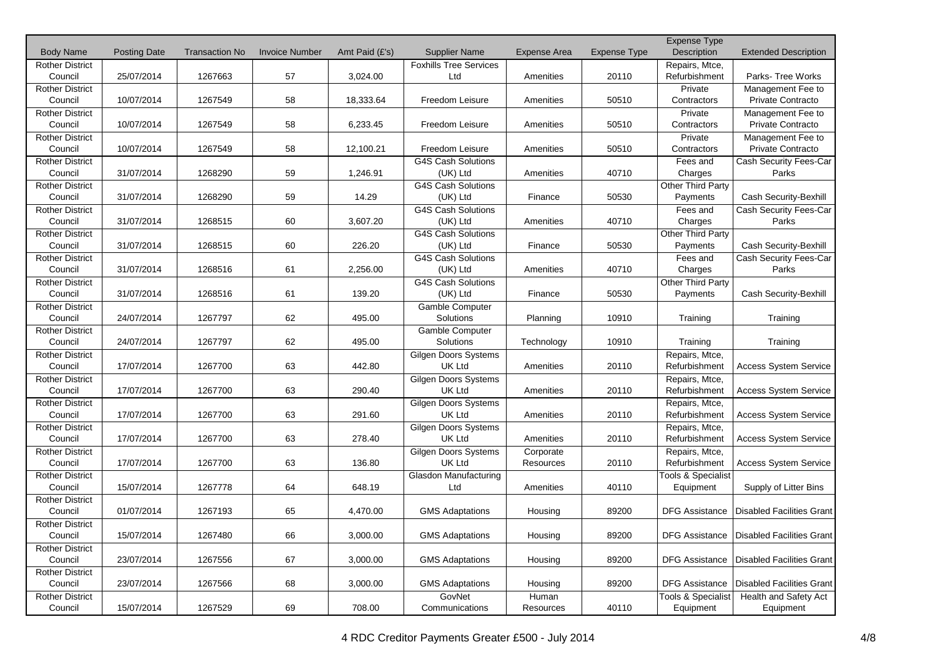|                        |                     |                       |                       |                |                               |                     |                     | <b>Expense Type</b>           |                                  |
|------------------------|---------------------|-----------------------|-----------------------|----------------|-------------------------------|---------------------|---------------------|-------------------------------|----------------------------------|
| <b>Body Name</b>       | <b>Posting Date</b> | <b>Transaction No</b> | <b>Invoice Number</b> | Amt Paid (£'s) | <b>Supplier Name</b>          | <b>Expense Area</b> | <b>Expense Type</b> | Description                   | <b>Extended Description</b>      |
| <b>Rother District</b> |                     |                       |                       |                | <b>Foxhills Tree Services</b> |                     |                     | Repairs, Mtce,                |                                  |
| Council                | 25/07/2014          | 1267663               | 57                    | 3,024.00       | Ltd                           | Amenities           | 20110               | Refurbishment                 | Parks- Tree Works                |
| <b>Rother District</b> |                     |                       |                       |                |                               |                     |                     | Private                       | Management Fee to                |
| Council                | 10/07/2014          | 1267549               | 58                    | 18,333.64      | Freedom Leisure               | Amenities           | 50510               | Contractors                   | Private Contracto                |
| <b>Rother District</b> |                     |                       |                       |                |                               |                     |                     | Private                       | Management Fee to                |
| Council                | 10/07/2014          | 1267549               | 58                    | 6,233.45       | Freedom Leisure               | Amenities           | 50510               | Contractors                   | Private Contracto                |
| <b>Rother District</b> |                     |                       |                       |                |                               |                     |                     | Private                       | Management Fee to                |
| Council                | 10/07/2014          | 1267549               | 58                    | 12,100.21      | Freedom Leisure               | Amenities           | 50510               | Contractors                   | Private Contracto                |
| <b>Rother District</b> |                     |                       |                       |                | <b>G4S Cash Solutions</b>     |                     |                     | Fees and                      | Cash Security Fees-Car           |
| Council                | 31/07/2014          | 1268290               | 59                    | 1,246.91       | (UK) Ltd                      | Amenities           | 40710               | Charges                       | Parks                            |
| <b>Rother District</b> |                     |                       |                       |                | <b>G4S Cash Solutions</b>     |                     |                     | Other Third Party             |                                  |
| Council                | 31/07/2014          | 1268290               | 59                    | 14.29          | (UK) Ltd                      | Finance             | 50530               | Payments                      | Cash Security-Bexhill            |
| <b>Rother District</b> |                     |                       |                       |                | G4S Cash Solutions            |                     |                     | Fees and                      | Cash Security Fees-Car           |
| Council                | 31/07/2014          | 1268515               | 60                    | 3,607.20       | (UK) Ltd                      | Amenities           | 40710               | Charges                       | Parks                            |
| <b>Rother District</b> |                     |                       |                       |                | <b>G4S Cash Solutions</b>     |                     |                     | Other Third Party             |                                  |
| Council                | 31/07/2014          | 1268515               | 60                    | 226.20         | (UK) Ltd                      | Finance             | 50530               | Payments                      | Cash Security-Bexhill            |
| <b>Rother District</b> |                     |                       |                       |                | <b>G4S Cash Solutions</b>     |                     |                     | Fees and                      | Cash Security Fees-Car           |
| Council                | 31/07/2014          | 1268516               | 61                    | 2,256.00       | (UK) Ltd                      | Amenities           | 40710               | Charges                       | Parks                            |
| <b>Rother District</b> |                     |                       |                       |                | G4S Cash Solutions            |                     |                     | Other Third Party             |                                  |
| Council                | 31/07/2014          | 1268516               | 61                    | 139.20         | (UK) Ltd                      | Finance             | 50530               | Payments                      | Cash Security-Bexhill            |
| <b>Rother District</b> |                     |                       |                       |                | Gamble Computer               |                     |                     |                               |                                  |
| Council                | 24/07/2014          | 1267797               | 62                    | 495.00         | Solutions                     | Planning            | 10910               | Training                      | Training                         |
| <b>Rother District</b> |                     |                       |                       |                | Gamble Computer               |                     |                     |                               |                                  |
| Council                | 24/07/2014          | 1267797               | 62                    | 495.00         | Solutions                     | Technology          | 10910               | Training                      | Training                         |
| <b>Rother District</b> |                     |                       |                       |                | Gilgen Doors Systems          |                     |                     | Repairs, Mtce,                |                                  |
| Council                | 17/07/2014          | 1267700               | 63                    | 442.80         | <b>UK Ltd</b>                 | Amenities           | 20110               | Refurbishment                 | <b>Access System Service</b>     |
| <b>Rother District</b> |                     |                       |                       |                | <b>Gilgen Doors Systems</b>   |                     |                     | Repairs, Mtce,                |                                  |
| Council                | 17/07/2014          | 1267700               | 63                    | 290.40         | <b>UK Ltd</b>                 | Amenities           | 20110               | Refurbishment                 | <b>Access System Service</b>     |
| <b>Rother District</b> |                     |                       |                       |                | Gilgen Doors Systems          |                     |                     | Repairs, Mtce,                |                                  |
| Council                | 17/07/2014          | 1267700               | 63                    | 291.60         | <b>UK Ltd</b>                 | Amenities           | 20110               | Refurbishment                 | <b>Access System Service</b>     |
| <b>Rother District</b> |                     |                       |                       |                | Gilgen Doors Systems          |                     |                     | Repairs, Mtce,                |                                  |
| Council                | 17/07/2014          | 1267700               | 63                    | 278.40         | UK Ltd                        | Amenities           | 20110               | Refurbishment                 | <b>Access System Service</b>     |
| <b>Rother District</b> |                     |                       |                       |                | <b>Gilgen Doors Systems</b>   | Corporate           |                     | Repairs, Mtce,                |                                  |
| Council                | 17/07/2014          | 1267700               | 63                    | 136.80         | <b>UK Ltd</b>                 | Resources           | 20110               | Refurbishment                 | <b>Access System Service</b>     |
| <b>Rother District</b> |                     |                       |                       |                | Glasdon Manufacturing         |                     |                     | <b>Tools &amp; Specialist</b> |                                  |
| Council                | 15/07/2014          | 1267778               | 64                    | 648.19         | Ltd                           | Amenities           | 40110               | Equipment                     | Supply of Litter Bins            |
| <b>Rother District</b> |                     |                       |                       |                |                               |                     |                     |                               |                                  |
| Council                | 01/07/2014          | 1267193               | 65                    | 4,470.00       | <b>GMS Adaptations</b>        |                     | 89200               | <b>DFG Assistance</b>         | <b>Disabled Facilities Grant</b> |
|                        |                     |                       |                       |                |                               | Housing             |                     |                               |                                  |
| <b>Rother District</b> |                     |                       |                       |                |                               |                     |                     |                               |                                  |
| Council                | 15/07/2014          | 1267480               | 66                    | 3,000.00       | <b>GMS Adaptations</b>        | Housing             | 89200               | <b>DFG Assistance</b>         | <b>Disabled Facilities Grant</b> |
| <b>Rother District</b> |                     |                       |                       |                |                               |                     |                     |                               |                                  |
| Council                | 23/07/2014          | 1267556               | 67                    | 3,000.00       | <b>GMS Adaptations</b>        | Housing             | 89200               | DFG Assistance                | <b>Disabled Facilities Grant</b> |
| <b>Rother District</b> |                     |                       |                       |                |                               |                     |                     |                               |                                  |
| Council                | 23/07/2014          | 1267566               | 68                    | 3,000.00       | <b>GMS Adaptations</b>        | Housing             | 89200               | <b>DFG Assistance</b>         | <b>Disabled Facilities Grant</b> |
| <b>Rother District</b> |                     |                       |                       |                | GovNet                        | Human               |                     | <b>Tools &amp; Specialist</b> | Health and Safety Act            |
| Council                | 15/07/2014          | 1267529               | 69                    | 708.00         | Communications                | Resources           | 40110               | Equipment                     | Equipment                        |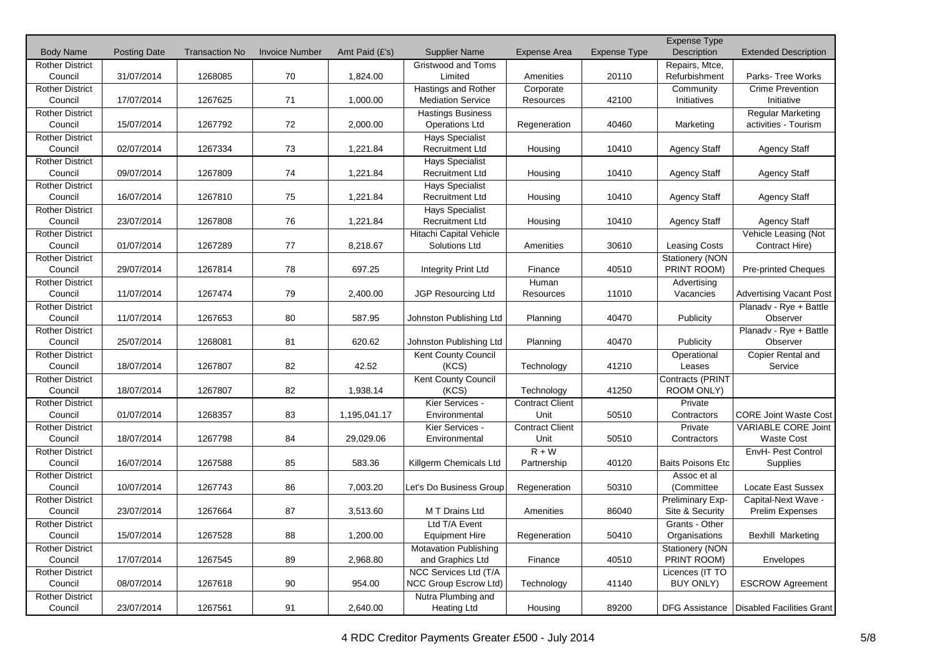|                        |                     |                       |                       |                |                              |                        |                     | <b>Expense Type</b>      |                                            |
|------------------------|---------------------|-----------------------|-----------------------|----------------|------------------------------|------------------------|---------------------|--------------------------|--------------------------------------------|
| <b>Body Name</b>       | <b>Posting Date</b> | <b>Transaction No</b> | <b>Invoice Number</b> | Amt Paid (£'s) | <b>Supplier Name</b>         | <b>Expense Area</b>    | <b>Expense Type</b> | Description              | <b>Extended Description</b>                |
| <b>Rother District</b> |                     |                       |                       |                | Gristwood and Toms           |                        |                     | Repairs, Mtce,           |                                            |
| Council                | 31/07/2014          | 1268085               | 70                    | 1,824.00       | Limited                      | Amenities              | 20110               | Refurbishment            | Parks- Tree Works                          |
| <b>Rother District</b> |                     |                       |                       |                | <b>Hastings and Rother</b>   | Corporate              |                     | Community                | <b>Crime Prevention</b>                    |
| Council                | 17/07/2014          | 1267625               | 71                    | 1,000.00       | <b>Mediation Service</b>     | Resources              | 42100               | Initiatives              | Initiative                                 |
| <b>Rother District</b> |                     |                       |                       |                | <b>Hastings Business</b>     |                        |                     |                          | <b>Regular Marketing</b>                   |
| Council                | 15/07/2014          | 1267792               | 72                    | 2,000.00       | <b>Operations Ltd</b>        | Regeneration           | 40460               | Marketing                | activities - Tourism                       |
| <b>Rother District</b> |                     |                       |                       |                | <b>Hays Specialist</b>       |                        |                     |                          |                                            |
| Council                | 02/07/2014          | 1267334               | 73                    | 1.221.84       | <b>Recruitment Ltd</b>       | Housing                | 10410               | <b>Agency Staff</b>      | <b>Agency Staff</b>                        |
| <b>Rother District</b> |                     |                       |                       |                | <b>Hays Specialist</b>       |                        |                     |                          |                                            |
| Council                | 09/07/2014          | 1267809               | 74                    | 1,221.84       | <b>Recruitment Ltd</b>       | Housing                | 10410               | <b>Agency Staff</b>      | <b>Agency Staff</b>                        |
| <b>Rother District</b> |                     |                       |                       |                | <b>Hays Specialist</b>       |                        |                     |                          |                                            |
| Council                | 16/07/2014          | 1267810               | 75                    | 1,221.84       | <b>Recruitment Ltd</b>       | Housing                | 10410               | Agency Staff             | <b>Agency Staff</b>                        |
| <b>Rother District</b> |                     |                       |                       |                | <b>Hays Specialist</b>       |                        |                     |                          |                                            |
| Council                | 23/07/2014          | 1267808               | 76                    | 1,221.84       | <b>Recruitment Ltd</b>       | Housing                | 10410               | <b>Agency Staff</b>      | <b>Agency Staff</b>                        |
| <b>Rother District</b> |                     |                       |                       |                | Hitachi Capital Vehicle      |                        |                     |                          | Vehicle Leasing (Not                       |
| Council                | 01/07/2014          | 1267289               | 77                    | 8,218.67       | Solutions Ltd                | Amenities              | 30610               | <b>Leasing Costs</b>     | Contract Hire)                             |
| <b>Rother District</b> |                     |                       |                       |                |                              |                        |                     | Stationery (NON          |                                            |
| Council                | 29/07/2014          | 1267814               | 78                    | 697.25         | Integrity Print Ltd          | Finance                | 40510               | PRINT ROOM)              | <b>Pre-printed Cheques</b>                 |
| <b>Rother District</b> |                     |                       |                       |                |                              | Human                  |                     | Advertising              |                                            |
| Council                | 11/07/2014          | 1267474               | 79                    | 2,400.00       | <b>JGP Resourcing Ltd</b>    | Resources              | 11010               | Vacancies                | <b>Advertising Vacant Post</b>             |
| <b>Rother District</b> |                     |                       |                       |                |                              |                        |                     |                          | Planadv - Rye + Battle                     |
| Council                | 11/07/2014          | 1267653               | 80                    | 587.95         | Johnston Publishing Ltd      | Planning               | 40470               | Publicity                | Observer                                   |
| <b>Rother District</b> |                     |                       |                       |                |                              |                        |                     |                          | Planadv - Rye + Battle                     |
| Council                | 25/07/2014          | 1268081               | 81                    | 620.62         | Johnston Publishing Ltd      | Planning               | 40470               | Publicity                | Observer                                   |
| <b>Rother District</b> |                     |                       |                       |                | Kent County Council          |                        |                     | Operational              | Copier Rental and                          |
| Council                | 18/07/2014          | 1267807               | 82                    | 42.52          | (KCS)                        | Technology             | 41210               | Leases                   | Service                                    |
| <b>Rother District</b> |                     |                       |                       |                | Kent County Council          |                        |                     | Contracts (PRINT         |                                            |
| Council                | 18/07/2014          | 1267807               | 82                    | 1,938.14       | (KCS)                        | Technology             | 41250               | ROOM ONLY)               |                                            |
| <b>Rother District</b> |                     |                       |                       |                | Kier Services -              | <b>Contract Client</b> |                     | Private                  |                                            |
| Council                | 01/07/2014          | 1268357               | 83                    | 1,195,041.17   | Environmental                | Unit                   | 50510               | Contractors              | <b>CORE Joint Waste Cost</b>               |
| <b>Rother District</b> |                     |                       |                       |                | Kier Services -              | <b>Contract Client</b> |                     | Private                  | <b>VARIABLE CORE Joint</b>                 |
| Council                | 18/07/2014          | 1267798               | 84                    | 29,029.06      | Environmental                | Unit                   | 50510               | Contractors              | <b>Waste Cost</b>                          |
| <b>Rother District</b> |                     |                       |                       |                |                              | $R + W$                |                     |                          | EnvH- Pest Control                         |
| Council                | 16/07/2014          | 1267588               | 85                    | 583.36         | Killgerm Chemicals Ltd       | Partnership            | 40120               | <b>Baits Poisons Etc</b> | Supplies                                   |
| <b>Rother District</b> |                     |                       |                       |                |                              |                        |                     | Assoc et al              |                                            |
| Council                | 10/07/2014          | 1267743               | 86                    | 7,003.20       | Let's Do Business Group      | Regeneration           | 50310               | (Committee               | Locate East Sussex                         |
| <b>Rother District</b> |                     |                       |                       |                |                              |                        |                     | Preliminary Exp-         | Capital-Next Wave -                        |
| Council                | 23/07/2014          | 1267664               | 87                    | 3,513.60       | M T Drains Ltd               | Amenities              | 86040               | Site & Security          | <b>Prelim Expenses</b>                     |
| <b>Rother District</b> |                     |                       |                       |                | Ltd T/A Event                |                        |                     | Grants - Other           |                                            |
| Council                | 15/07/2014          | 1267528               | 88                    | 1,200.00       | <b>Equipment Hire</b>        | Regeneration           | 50410               | Organisations            | Bexhill Marketing                          |
| <b>Rother District</b> |                     |                       |                       |                | <b>Motavation Publishing</b> |                        |                     | Stationery (NON          |                                            |
| Council                | 17/07/2014          | 1267545               | 89                    | 2,968.80       | and Graphics Ltd             | Finance                | 40510               | PRINT ROOM)              | Envelopes                                  |
| <b>Rother District</b> |                     |                       |                       |                | NCC Services Ltd (T/A        |                        |                     | Licences (IT TO          |                                            |
| Council                | 08/07/2014          | 1267618               | 90                    | 954.00         | NCC Group Escrow Ltd)        | Technology             | 41140               | <b>BUY ONLY)</b>         | <b>ESCROW Agreement</b>                    |
| <b>Rother District</b> |                     |                       |                       |                | Nutra Plumbing and           |                        |                     |                          |                                            |
| Council                | 23/07/2014          | 1267561               | 91                    | 2,640.00       | <b>Heating Ltd</b>           | Housing                | 89200               |                          | DFG Assistance   Disabled Facilities Grant |
|                        |                     |                       |                       |                |                              |                        |                     |                          |                                            |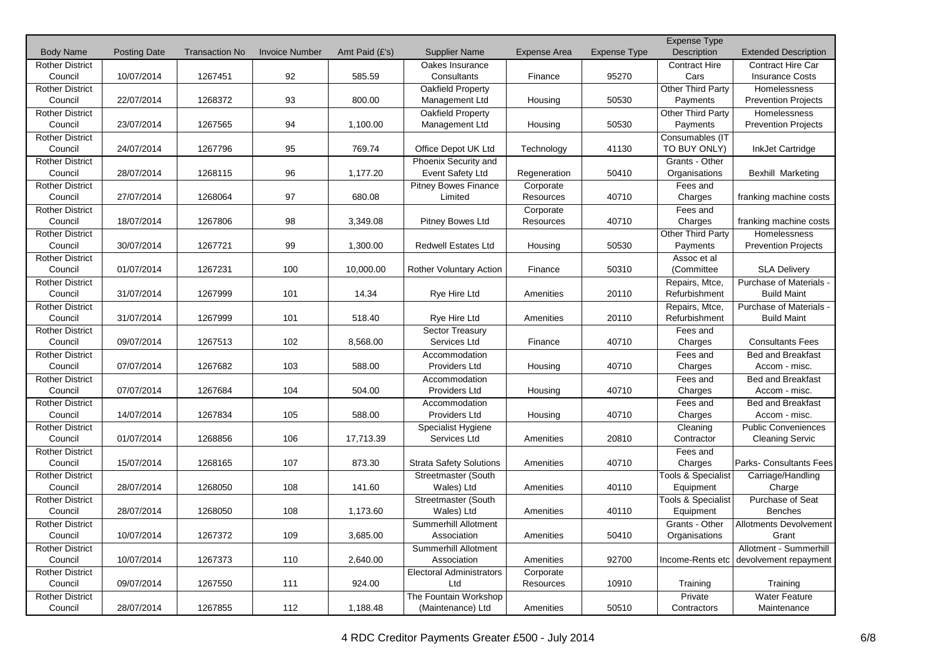|                        |                     |                       |                       |                |                                 |                     |              | <b>Expense Type</b>           |                             |
|------------------------|---------------------|-----------------------|-----------------------|----------------|---------------------------------|---------------------|--------------|-------------------------------|-----------------------------|
| <b>Body Name</b>       | <b>Posting Date</b> | <b>Transaction No</b> | <b>Invoice Number</b> | Amt Paid (£'s) | <b>Supplier Name</b>            | <b>Expense Area</b> | Expense Type | Description                   | <b>Extended Description</b> |
| <b>Rother District</b> |                     |                       |                       |                | Oakes Insurance                 |                     |              | <b>Contract Hire</b>          | <b>Contract Hire Car</b>    |
| Council                | 10/07/2014          | 1267451               | 92                    | 585.59         | Consultants                     | Finance             | 95270        | Cars                          | <b>Insurance Costs</b>      |
| <b>Rother District</b> |                     |                       |                       |                | Oakfield Property               |                     |              | Other Third Party             | Homelessness                |
| Council                | 22/07/2014          | 1268372               | 93                    | 800.00         | Management Ltd                  | Housing             | 50530        | Payments                      | <b>Prevention Projects</b>  |
| <b>Rother District</b> |                     |                       |                       |                | <b>Oakfield Property</b>        |                     |              | Other Third Party             | Homelessness                |
| Council                | 23/07/2014          | 1267565               | 94                    | 1,100.00       | Management Ltd                  | Housing             | 50530        | Payments                      | <b>Prevention Projects</b>  |
| <b>Rother District</b> |                     |                       |                       |                |                                 |                     |              | Consumables (IT               |                             |
| Council                | 24/07/2014          | 1267796               | 95                    | 769.74         | Office Depot UK Ltd             | Technology          | 41130        | TO BUY ONLY)                  | InkJet Cartridge            |
| <b>Rother District</b> |                     |                       |                       |                | Phoenix Security and            |                     |              | Grants - Other                |                             |
| Council                | 28/07/2014          | 1268115               | 96                    | 1,177.20       | Event Safety Ltd                | Regeneration        | 50410        | Organisations                 | Bexhill Marketing           |
| <b>Rother District</b> |                     |                       |                       |                | <b>Pitney Bowes Finance</b>     | Corporate           |              | Fees and                      |                             |
| Council                | 27/07/2014          | 1268064               | 97                    | 680.08         | Limited                         | Resources           | 40710        | Charges                       | franking machine costs      |
| <b>Rother District</b> |                     |                       |                       |                |                                 | Corporate           |              | Fees and                      |                             |
| Council                | 18/07/2014          | 1267806               | 98                    | 3,349.08       | Pitney Bowes Ltd                | Resources           | 40710        | Charges                       | franking machine costs      |
| <b>Rother District</b> |                     |                       |                       |                |                                 |                     |              | Other Third Party             | Homelessness                |
| Council                | 30/07/2014          | 1267721               | 99                    | 1,300.00       | <b>Redwell Estates Ltd</b>      | Housing             | 50530        | Payments                      | <b>Prevention Projects</b>  |
| <b>Rother District</b> |                     |                       |                       |                |                                 |                     |              | Assoc et al                   |                             |
| Council                | 01/07/2014          | 1267231               | 100                   | 10,000.00      | <b>Rother Voluntary Action</b>  | Finance             | 50310        | (Committee                    | <b>SLA Delivery</b>         |
| <b>Rother District</b> |                     |                       |                       |                |                                 |                     |              | Repairs, Mtce,                | Purchase of Materials -     |
| Council                | 31/07/2014          | 1267999               | 101                   | 14.34          | Rye Hire Ltd                    | Amenities           | 20110        | Refurbishment                 | <b>Build Maint</b>          |
| <b>Rother District</b> |                     |                       |                       |                |                                 |                     |              | Repairs, Mtce,                | Purchase of Materials -     |
| Council                | 31/07/2014          | 1267999               | 101                   | 518.40         | Rye Hire Ltd                    | Amenities           | 20110        | Refurbishment                 | <b>Build Maint</b>          |
| <b>Rother District</b> |                     |                       |                       |                | Sector Treasury                 |                     |              | Fees and                      |                             |
| Council                | 09/07/2014          | 1267513               | 102                   | 8,568.00       | Services Ltd                    | Finance             | 40710        | Charges                       | <b>Consultants Fees</b>     |
| <b>Rother District</b> |                     |                       |                       |                | Accommodation                   |                     |              | Fees and                      | <b>Bed and Breakfast</b>    |
| Council                | 07/07/2014          | 1267682               | 103                   | 588.00         | Providers Ltd                   | Housing             | 40710        | Charges                       | Accom - misc.               |
| <b>Rother District</b> |                     |                       |                       |                | Accommodation                   |                     |              | Fees and                      | <b>Bed and Breakfast</b>    |
| Council                | 07/07/2014          | 1267684               | 104                   | 504.00         | Providers Ltd                   | Housing             | 40710        | Charges                       | Accom - misc.               |
| <b>Rother District</b> |                     |                       |                       |                | Accommodation                   |                     |              | Fees and                      | <b>Bed and Breakfast</b>    |
| Council                | 14/07/2014          | 1267834               | 105                   | 588.00         | Providers Ltd                   | Housing             | 40710        | Charges                       | Accom - misc.               |
| <b>Rother District</b> |                     |                       |                       |                | Specialist Hygiene              |                     |              | Cleaning                      | <b>Public Conveniences</b>  |
| Council                | 01/07/2014          | 1268856               | 106                   | 17,713.39      | Services Ltd                    | Amenities           | 20810        | Contractor                    | <b>Cleaning Servic</b>      |
| <b>Rother District</b> |                     |                       |                       |                |                                 |                     |              | Fees and                      |                             |
| Council                | 15/07/2014          | 1268165               | 107                   | 873.30         | <b>Strata Safety Solutions</b>  | Amenities           | 40710        | Charges                       | Parks- Consultants Fees     |
| <b>Rother District</b> |                     |                       |                       |                | Streetmaster (South             |                     |              | <b>Tools &amp; Specialist</b> | Carriage/Handling           |
| Council                | 28/07/2014          | 1268050               | 108                   | 141.60         | Wales) Ltd                      | Amenities           | 40110        | Equipment                     | Charge                      |
| <b>Rother District</b> |                     |                       |                       |                | Streetmaster (South             |                     |              | Tools & Specialist            | Purchase of Seat            |
| Council                | 28/07/2014          | 1268050               | 108                   | 1,173.60       | Wales) Ltd                      | Amenities           | 40110        | Equipment                     | <b>Benches</b>              |
| <b>Rother District</b> |                     |                       |                       |                | Summerhill Allotment            |                     |              | Grants - Other                | Allotments Devolvement      |
| Council                | 10/07/2014          | 1267372               | 109                   | 3,685.00       | Association                     | Amenities           | 50410        | Organisations                 | Grant                       |
| <b>Rother District</b> |                     |                       |                       |                | Summerhill Allotment            |                     |              |                               | Allotment - Summerhill      |
| Council                | 10/07/2014          | 1267373               | 110                   | 2,640.00       | Association                     | Amenities           | 92700        | Income-Rents etc              | devolvement repayment       |
| <b>Rother District</b> |                     |                       |                       |                | <b>Electoral Administrators</b> | Corporate           |              |                               |                             |
| Council                | 09/07/2014          | 1267550               | 111                   | 924.00         | Ltd                             | Resources           | 10910        | Training                      | Training                    |
| <b>Rother District</b> |                     |                       |                       |                | The Fountain Workshop           |                     |              | Private                       | <b>Water Feature</b>        |
| Council                | 28/07/2014          | 1267855               | 112                   | 1,188.48       | (Maintenance) Ltd               | Amenities           | 50510        | Contractors                   | Maintenance                 |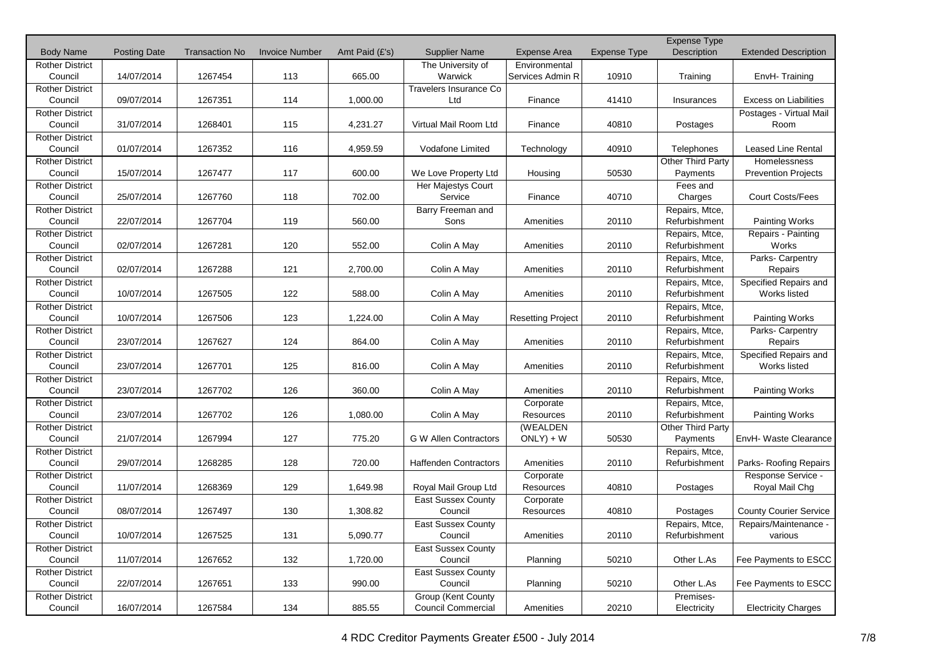|                        |                     |                       |                       |                |                              |                          |                     | Expense Type                    |                               |
|------------------------|---------------------|-----------------------|-----------------------|----------------|------------------------------|--------------------------|---------------------|---------------------------------|-------------------------------|
| <b>Body Name</b>       | <b>Posting Date</b> | <b>Transaction No</b> | <b>Invoice Number</b> | Amt Paid (£'s) | <b>Supplier Name</b>         | <b>Expense Area</b>      | <b>Expense Type</b> | Description                     | <b>Extended Description</b>   |
| <b>Rother District</b> |                     |                       |                       |                | The University of            | Environmental            |                     |                                 |                               |
| Council                | 14/07/2014          | 1267454               | 113                   | 665.00         | Warwick                      | Services Admin R         | 10910               | Training                        | EnvH-Training                 |
| <b>Rother District</b> |                     |                       |                       |                | Travelers Insurance Co       |                          |                     |                                 |                               |
| Council                | 09/07/2014          | 1267351               | 114                   | 1,000.00       | Ltd                          | Finance                  | 41410               | Insurances                      | <b>Excess on Liabilities</b>  |
| <b>Rother District</b> |                     |                       |                       |                |                              |                          |                     |                                 | Postages - Virtual Mail       |
| Council                | 31/07/2014          | 1268401               | 115                   | 4,231.27       | Virtual Mail Room Ltd        | Finance                  | 40810               | Postages                        | Room                          |
| <b>Rother District</b> |                     |                       |                       |                |                              |                          |                     |                                 |                               |
| Council                | 01/07/2014          | 1267352               | 116                   | 4,959.59       | Vodafone Limited             | Technology               | 40910               | Telephones                      | <b>Leased Line Rental</b>     |
| <b>Rother District</b> |                     |                       |                       |                |                              |                          |                     | Other Third Party               | Homelessness                  |
| Council                | 15/07/2014          | 1267477               | 117                   | 600.00         | We Love Property Ltd         | Housing                  | 50530               | Payments                        | <b>Prevention Projects</b>    |
| <b>Rother District</b> |                     |                       |                       |                | Her Majestys Court           |                          |                     | Fees and                        |                               |
| Council                | 25/07/2014          | 1267760               | 118                   | 702.00         | Service                      | Finance                  | 40710               | Charges                         | <b>Court Costs/Fees</b>       |
| <b>Rother District</b> |                     |                       |                       |                | Barry Freeman and            |                          |                     | Repairs, Mtce,                  |                               |
| Council                | 22/07/2014          | 1267704               | 119                   | 560.00         | Sons                         | Amenities                | 20110               | Refurbishment                   | <b>Painting Works</b>         |
| <b>Rother District</b> |                     |                       |                       |                |                              |                          |                     |                                 |                               |
| Council                | 02/07/2014          | 1267281               | 120                   | 552.00         | Colin A May                  | Amenities                | 20110               | Repairs, Mtce,<br>Refurbishment | Repairs - Painting<br>Works   |
|                        |                     |                       |                       |                |                              |                          |                     |                                 |                               |
| <b>Rother District</b> |                     |                       |                       |                |                              |                          |                     | Repairs, Mtce,                  | Parks- Carpentry              |
| Council                | 02/07/2014          | 1267288               | 121                   | 2,700.00       | Colin A May                  | Amenities                | 20110               | Refurbishment                   | Repairs                       |
| <b>Rother District</b> |                     |                       |                       |                |                              |                          |                     | Repairs, Mtce,                  | Specified Repairs and         |
| Council                | 10/07/2014          | 1267505               | 122                   | 588.00         | Colin A May                  | Amenities                | 20110               | Refurbishment                   | Works listed                  |
| <b>Rother District</b> |                     |                       |                       |                |                              |                          |                     | Repairs, Mtce,                  |                               |
| Council                | 10/07/2014          | 1267506               | 123                   | 1,224.00       | Colin A May                  | <b>Resetting Project</b> | 20110               | Refurbishment                   | <b>Painting Works</b>         |
| <b>Rother District</b> |                     |                       |                       |                |                              |                          |                     | Repairs, Mtce,                  | Parks- Carpentry              |
| Council                | 23/07/2014          | 1267627               | 124                   | 864.00         | Colin A May                  | Amenities                | 20110               | Refurbishment                   | Repairs                       |
| <b>Rother District</b> |                     |                       |                       |                |                              |                          |                     | Repairs, Mtce,                  | Specified Repairs and         |
| Council                | 23/07/2014          | 1267701               | 125                   | 816.00         | Colin A May                  | Amenities                | 20110               | Refurbishment                   | Works listed                  |
| <b>Rother District</b> |                     |                       |                       |                |                              |                          |                     | Repairs, Mtce,                  |                               |
| Council                | 23/07/2014          | 1267702               | 126                   | 360.00         | Colin A May                  | Amenities                | 20110               | Refurbishment                   | <b>Painting Works</b>         |
| <b>Rother District</b> |                     |                       |                       |                |                              | Corporate                |                     | Repairs, Mtce,                  |                               |
| Council                | 23/07/2014          | 1267702               | 126                   | 1,080.00       | Colin A May                  | Resources                | 20110               | Refurbishment                   | <b>Painting Works</b>         |
| <b>Rother District</b> |                     |                       |                       |                |                              | (WEALDEN                 |                     | Other Third Party               |                               |
| Council                | 21/07/2014          | 1267994               | 127                   | 775.20         | G W Allen Contractors        | $ONLY$ ) + W             | 50530               | Payments                        | EnvH- Waste Clearance         |
| <b>Rother District</b> |                     |                       |                       |                |                              |                          |                     | Repairs, Mtce,                  |                               |
| Council                | 29/07/2014          | 1268285               | 128                   | 720.00         | <b>Haffenden Contractors</b> | Amenities                | 20110               | Refurbishment                   | Parks- Roofing Repairs        |
| <b>Rother District</b> |                     |                       |                       |                |                              | Corporate                |                     |                                 | Response Service -            |
| Council                | 11/07/2014          | 1268369               | 129                   | 1,649.98       | Royal Mail Group Ltd         | Resources                | 40810               | Postages                        | Royal Mail Chg                |
| <b>Rother District</b> |                     |                       |                       |                | <b>East Sussex County</b>    | Corporate                |                     |                                 |                               |
| Council                | 08/07/2014          | 1267497               | 130                   | 1,308.82       | Council                      | Resources                | 40810               | Postages                        | <b>County Courier Service</b> |
| <b>Rother District</b> |                     |                       |                       |                | <b>East Sussex County</b>    |                          |                     | Repairs, Mtce,                  | Repairs/Maintenance -         |
| Council                | 10/07/2014          | 1267525               | 131                   | 5,090.77       | Council                      | Amenities                | 20110               | Refurbishment                   | various                       |
| <b>Rother District</b> |                     |                       |                       |                | <b>East Sussex County</b>    |                          |                     |                                 |                               |
| Council                | 11/07/2014          | 1267652               | 132                   | 1,720.00       | Council                      | Planning                 | 50210               | Other L.As                      | Fee Payments to ESCC          |
| <b>Rother District</b> |                     |                       |                       |                | East Sussex County           |                          |                     |                                 |                               |
| Council                | 22/07/2014          | 1267651               | 133                   | 990.00         | Council                      | Planning                 | 50210               | Other L.As                      | Fee Payments to ESCC          |
|                        |                     |                       |                       |                |                              |                          |                     |                                 |                               |
| <b>Rother District</b> |                     |                       |                       |                | Group (Kent County           |                          |                     | Premises-                       |                               |
| Council                | 16/07/2014          | 1267584               | 134                   | 885.55         | <b>Council Commercial</b>    | Amenities                | 20210               | Electricity                     | <b>Electricity Charges</b>    |